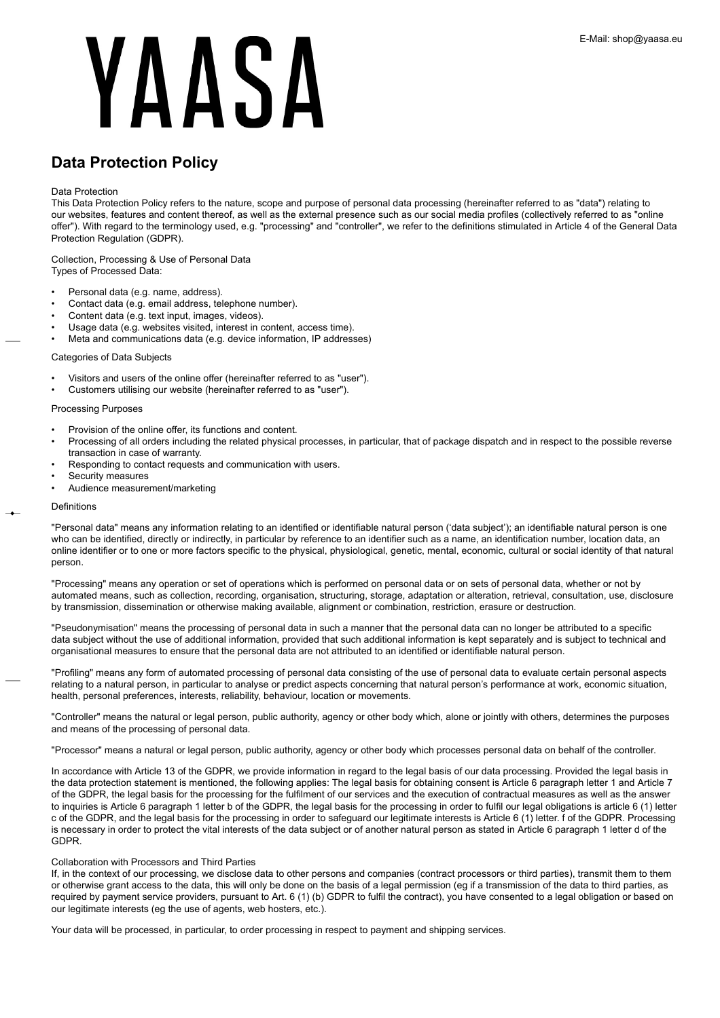# <span id="page-0-0"></span>YAASA

## **Data Protection Policy**

### Data Protection

This Data Protection Policy refers to the nature, scope and purpose of personal data processing (hereinafter referred to as "data") relating to our websites, features and content thereof, as well as the external presence such as our social media profiles (collectively referred to as "online offer"). With regard to the terminology used, e.g. "processing" and "controller", we refer to the definitions stimulated in Article 4 of the General Data Protection Regulation (GDPR).

Collection, Processing & Use of Personal Data Types of Processed Data:

- Personal data (e.g. name, address).
- Contact data (e.g. email address, telephone number).
- Content data (e.g. text input, images, videos).
- Usage data (e.g. websites visited, interest in content, access time).
- Meta and communications data (e.g. device information, IP addresses)

### Categories of Data Subjects

- Visitors and users of the online offer (hereinafter referred to as "user").
- Customers utilising our website (hereinafter referred to as "user").

## Processing Purposes

- Provision of the online offer, its functions and content.
- Processing of all orders including the related physical processes, in particular, that of package dispatch and in respect to the possible reverse transaction in case of warranty.
- Responding to contact requests and communication with users.
- Security measures
- Audience measurement/marketing

### Definitions

"Personal data" means any information relating to an identified or identifiable natural person ('data subject'); an identifiable natural person is one who can be identified, directly or indirectly, in particular by reference to an identifier such as a name, an identification number, location data, an online identifier or to one or more factors specific to the physical, physiological, genetic, mental, economic, cultural or social identity of that natural person.

"Processing" means any operation or set of operations which is performed on personal data or on sets of personal data, whether or not by automated means, such as collection, recording, organisation, structuring, storage, adaptation or alteration, retrieval, consultation, use, disclosure by transmission, dissemination or otherwise making available, alignment or combination, restriction, erasure or destruction.

"Pseudonymisation" means the processing of personal data in such a manner that the personal data can no longer be attributed to a specific data subject without the use of additional information, provided that such additional information is kept separately and is subject to technical and organisational measures to ensure that the personal data are not attributed to an identified or identifiable natural person.

"Profiling" means any form of automated processing of personal data consisting of the use of personal data to evaluate certain personal aspects relating to a natural person, in particular to analyse or predict aspects concerning that natural person's performance at work, economic situation, health, personal preferences, interests, reliability, behaviour, location or movements.

"Controller" means the natural or legal person, public authority, agency or other body which, alone or jointly with others, determines the purposes and means of the processing of personal data.

"Processor" means a natural or legal person, public authority, agency or other body which processes personal data on behalf of the controller.

In accordance with Article 13 of the GDPR, we provide information in regard to the legal basis of our data processing. Provided the legal basis in the data protection statement is mentioned, the following applies: The legal basis for obtaining consent is Article 6 paragraph letter 1 and Article 7 of the GDPR, the legal basis for the processing for the fulfilment of our services and the execution of contractual measures as well as the answer to inquiries is Article 6 paragraph 1 letter b of the GDPR, the legal basis for the processing in order to fulfil our legal obligations is article 6 (1) letter c of the GDPR, and the legal basis for the processing in order to safeguard our legitimate interests is Article 6 (1) letter. f of the GDPR. Processing is necessary in order to protect the vital interests of the data subject or of another natural person as stated in Article 6 paragraph 1 letter d of the GDPR.

### Collaboration with Processors and Third Parties

If, in the context of our processing, we disclose data to other persons and companies (contract processors or third parties), transmit them to them or otherwise grant access to the data, this will only be done on the basis of a legal permission (eg if a transmission of the data to third parties, as required by payment service providers, pursuant to Art. 6 (1) (b) GDPR to fulfil the contract), you have consented to a legal obligation or based on our legitimate interests (eg the use of agents, web hosters, etc.).

Your data will be processed, in particular, to order processing in respect to payment and shipping services.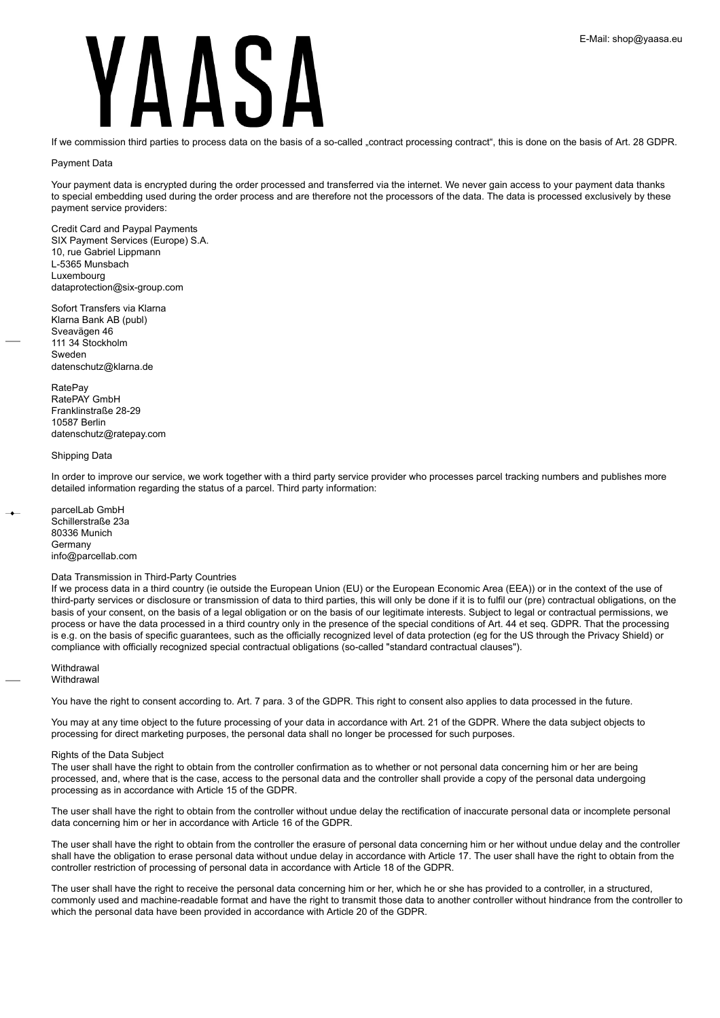If we commission third parties to process data on the basis of a so-called "contract processing contract", this is done on the basis of Art. 28 GDPR.

### Payment Data

Your payment data is encrypted during the order processed and transferred via the internet. We never gain access to your payment data thanks to special embedding used during the order process and are therefore not the processors of the data. The data is processed exclusively by these payment service providers:

Credit Card and Paypal Payments SIX Payment Services (Europe) S.A. 10, rue Gabriel Lippmann L-5365 Munsbach Luxembourg dataprotection@six-group.com

Sofort Transfers via Klarna Klarna Bank AB (publ) Sveavägen 46 111 34 Stockholm Sweden datenschutz@klarna.de

RatePay RatePAY GmbH Franklinstraße 28-29 10587 Berlin datenschutz@ratepay.com

### Shipping Data

In order to improve our service, we work together with a third party service provider who processes parcel tracking numbers and publishes more detailed information regarding the status of a parcel. Third party information:

parcelLab GmbH Schillerstraße 23a 80336 Munich **Germany** info@parcellab.com

## Data Transmission in Third-Party Countries

If we process data in a third country (ie outside the European Union (EU) or the European Economic Area (EEA)) or in the context of the use of third-party services or disclosure or transmission of data to third parties, this will only be done if it is to fulfil our (pre) contractual obligations, on the basis of your consent, on the basis of a legal obligation or on the basis of our legitimate interests. Subject to legal or contractual permissions, we process or have the data processed in a third country only in the presence of the special conditions of Art. 44 et seq. GDPR. That the processing is e.g. on the basis of specific guarantees, such as the officially recognized level of data protection (eg for the US through the Privacy Shield) or compliance with officially recognized special contractual obligations (so-called "standard contractual clauses").

**Withdrawal Withdrawal** 

You have the right to consent according to. Art. 7 para. 3 of the GDPR. This right to consent also applies to data processed in the future.

You may at any time object to the future processing of your data in accordance with Art. 21 of the GDPR. Where the data subject objects to processing for direct marketing purposes, the personal data shall no longer be processed for such purposes.

### Rights of the Data Subject

The user shall have the right to obtain from the controller confirmation as to whether or not personal data concerning him or her are being processed, and, where that is the case, access to the personal data and the controller shall provide a copy of the personal data undergoing processing as in accordance with Article 15 of the GDPR.

The user shall have the right to obtain from the controller without undue delay the rectification of inaccurate personal data or incomplete personal data concerning him or her in accordance with Article 16 of the GDPR.

The user shall have the right to obtain from the controller the erasure of personal data concerning him or her without undue delay and the controller shall have the obligation to erase personal data without undue delay in accordance with Article 17. The user shall have the right to obtain from the controller restriction of processing of personal data in accordance with Article 18 of the GDPR.

The user shall have the right to receive the personal data concerning him or her, which he or she has provided to a controller, in a structured, commonly used and machine-readable format and have the right to transmit those data to another controller without hindrance from the controller to which the personal data have been provided in accordance with Article 20 of the GDPR.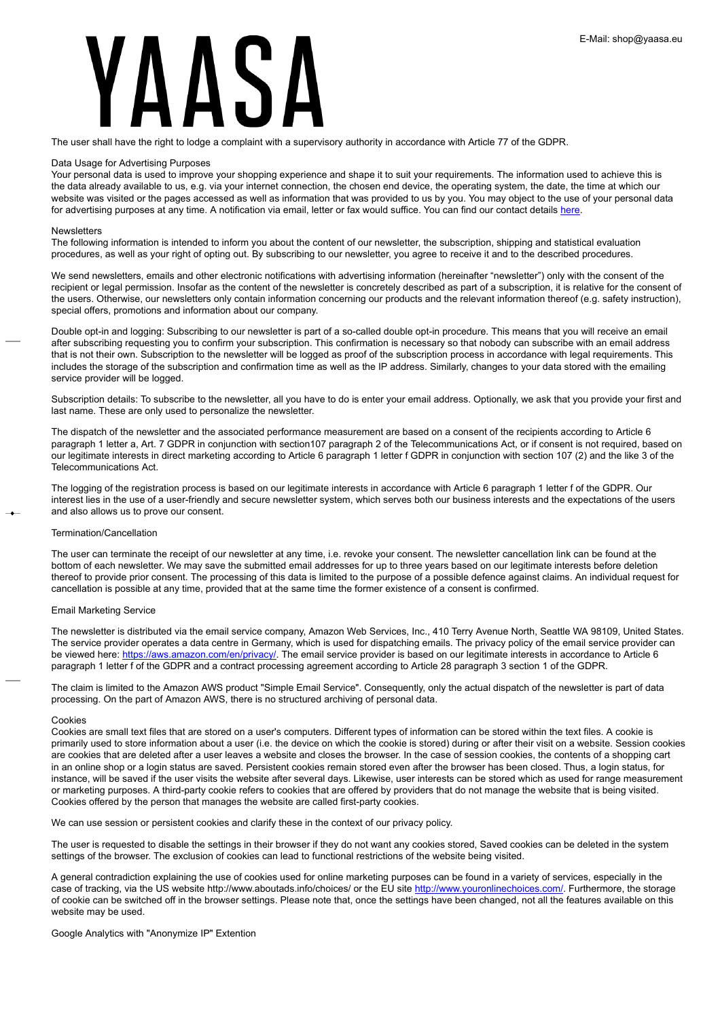## IS,

The user shall have the right to lodge a complaint with a supervisory authority in accordance with Article 77 of the GDPR.

### Data Usage for Advertising Purposes

Your personal data is used to improve your shopping experience and shape it to suit your requirements. The information used to achieve this is the data already available to us, e.g. via your internet connection, the chosen end device, the operating system, the date, the time at which our website was visited or the pages accessed as well as information that was provided to us by you. You may object to the use of your personal data for advertising purposes at any time. A notification via email, letter or fax would suffice. You can find our contact details [here](http://https://shop.yaasa.at/info/kontakt).

### Newsletters

The following information is intended to inform you about the content of our newsletter, the subscription, shipping and statistical evaluation procedures, as well as your right of opting out. By subscribing to our newsletter, you agree to receive it and to the described procedures.

We send newsletters, emails and other electronic notifications with advertising information (hereinafter "newsletter") only with the consent of the recipient or legal permission. Insofar as the content of the newsletter is concretely described as part of a subscription, it is relative for the consent of the users. Otherwise, our newsletters only contain information concerning our products and the relevant information thereof (e.g. safety instruction), special offers, promotions and information about our company.

Double opt-in and logging: Subscribing to our newsletter is part of a so-called double opt-in procedure. This means that you will receive an email after subscribing requesting you to confirm your subscription. This confirmation is necessary so that nobody can subscribe with an email address that is not their own. Subscription to the newsletter will be logged as proof of the subscription process in accordance with legal requirements. This includes the storage of the subscription and confirmation time as well as the IP address. Similarly, changes to your data stored with the emailing service provider will be logged.

Subscription details: To subscribe to the newsletter, all you have to do is enter your email address. Optionally, we ask that you provide your first and last name. These are only used to personalize the newsletter.

The dispatch of the newsletter and the associated performance measurement are based on a consent of the recipients according to Article 6 paragraph 1 letter a, Art. 7 GDPR in conjunction with section107 paragraph 2 of the Telecommunications Act, or if consent is not required, based on our legitimate interests in direct marketing according to Article 6 paragraph 1 letter f GDPR in conjunction with section 107 (2) and the like 3 of the Telecommunications Act.

The logging of the registration process is based on our legitimate interests in accordance with Article 6 paragraph 1 letter f of the GDPR. Our interest lies in the use of a user-friendly and secure newsletter system, which serves both our business interests and the expectations of the users and also allows us to prove our consent.

### Termination/Cancellation

The user can terminate the receipt of our newsletter at any time, i.e. revoke your consent. The newsletter cancellation link can be found at the bottom of each newsletter. We may save the submitted email addresses for up to three years based on our legitimate interests before deletion thereof to provide prior consent. The processing of this data is limited to the purpose of a possible defence against claims. An individual request for cancellation is possible at any time, provided that at the same time the former existence of a consent is confirmed.

### Email Marketing Service

The newsletter is distributed via the email service company, Amazon Web Services, Inc., 410 Terry Avenue North, Seattle WA 98109, United States. The service provider operates a data centre in Germany, which is used for dispatching emails. The privacy policy of the email service provider can be viewed here: [https://aws.amazon.com/en/privacy/](https://aws.amazon.com/privacy/?nc1=h_ls). The email service provider is based on our legitimate interests in accordance to Article 6 paragraph 1 letter f of the GDPR and a contract processing agreement according to Article 28 paragraph 3 section 1 of the GDPR.

The claim is limited to the Amazon AWS product "Simple Email Service". Consequently, only the actual dispatch of the newsletter is part of data processing. On the part of Amazon AWS, there is no structured archiving of personal data.

### Cookies

Cookies are small text files that are stored on a user's computers. Different types of information can be stored within the text files. A cookie is primarily used to store information about a user (i.e. the device on which the cookie is stored) during or after their visit on a website. Session cookies are cookies that are deleted after a user leaves a website and closes the browser. In the case of session cookies, the contents of a shopping cart in an online shop or a login status are saved. Persistent cookies remain stored even after the browser has been closed. Thus, a login status, for instance, will be saved if the user visits the website after several days. Likewise, user interests can be stored which as used for range measurement or marketing purposes. A third-party cookie refers to cookies that are offered by providers that do not manage the website that is being visited. Cookies offered by the person that manages the website are called first-party cookies.

We can use session or persistent cookies and clarify these in the context of our privacy policy.

The user is requested to disable the settings in their browser if they do not want any cookies stored, Saved cookies can be deleted in the system settings of the browser. The exclusion of cookies can lead to functional restrictions of the website being visited.

A general contradiction explaining the use of cookies used for online marketing purposes can be found in a variety of services, especially in the case of tracking, via the US website http://www.aboutads.info/choices/ or the EU site [http://www.youronlinechoices.com/](https://www.youronlinechoices.com/). Furthermore, the storage of cookie can be switched off in the browser settings. Please note that, once the settings have been changed, not all the features available on this website may be used.

Google Analytics with "Anonymize IP" Extention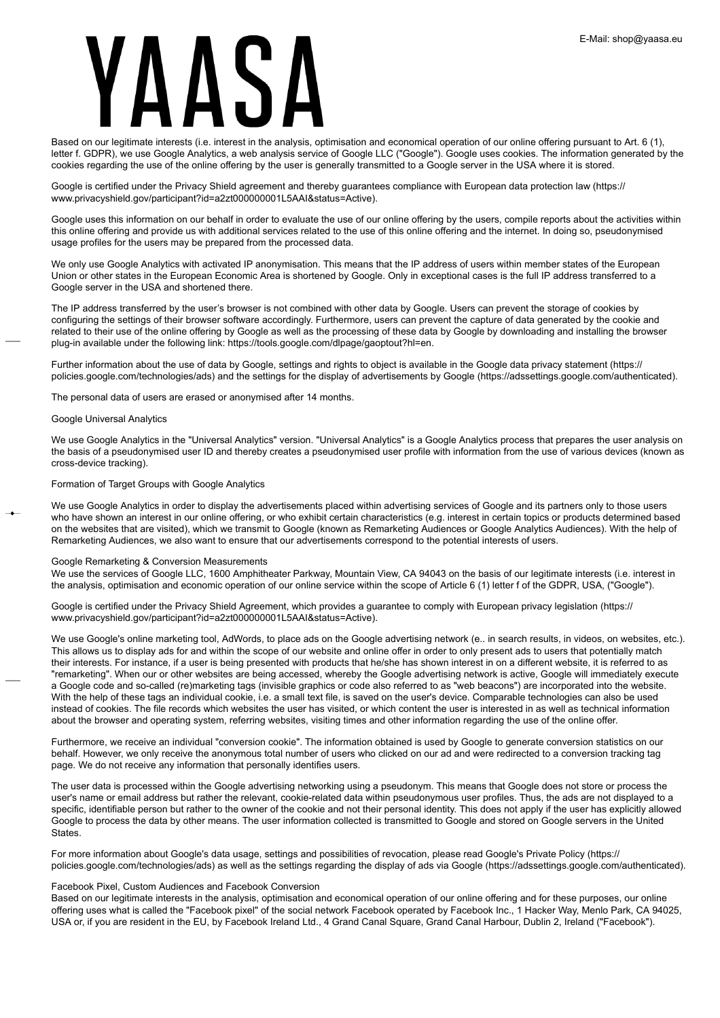## AS.

Based on our legitimate interests (i.e. interest in the analysis, optimisation and economical operation of our online offering pursuant to Art. 6 (1), letter f. GDPR), we use Google Analytics, a web analysis service of Google LLC ("Google"). Google uses cookies. The information generated by the cookies regarding the use of the online offering by the user is generally transmitted to a Google server in the USA where it is stored.

Google is certified under the Privacy Shield agreement and thereby guarantees compliance with European data protection law (https:// www.privacyshield.gov/participant?id=a2zt000000001L5AAI&status=Active).

Google uses this information on our behalf in order to evaluate the use of our online offering by the users, compile reports about the activities within this online offering and provide us with additional services related to the use of this online offering and the internet. In doing so, pseudonymised usage profiles for the users may be prepared from the processed data.

We only use Google Analytics with activated IP anonymisation. This means that the IP address of users within member states of the European Union or other states in the European Economic Area is shortened by Google. Only in exceptional cases is the full IP address transferred to a Google server in the USA and shortened there.

The IP address transferred by the user's browser is not combined with other data by Google. Users can prevent the storage of cookies by configuring the settings of their browser software accordingly. Furthermore, users can prevent the capture of data generated by the cookie and related to their use of the online offering by Google as well as the processing of these data by Google by downloading and installing the browser plug-in available under the following link: https://tools.google.com/dlpage/gaoptout?hl=en.

Further information about the use of data by Google, settings and rights to object is available in the Google data privacy statement (https:// policies.google.com/technologies/ads) and the settings for the display of advertisements by Google (https://adssettings.google.com/authenticated).

The personal data of users are erased or anonymised after 14 months.

### Google Universal Analytics

We use Google Analytics in the "Universal Analytics" version. "Universal Analytics" is a Google Analytics process that prepares the user analysis on the basis of a pseudonymised user ID and thereby creates a pseudonymised user profile with information from the use of various devices (known as cross-device tracking).

### Formation of Target Groups with Google Analytics

We use Google Analytics in order to display the advertisements placed within advertising services of Google and its partners only to those users who have shown an interest in our online offering, or who exhibit certain characteristics (e.g. interest in certain topics or products determined based on the websites that are visited), which we transmit to Google (known as Remarketing Audiences or Google Analytics Audiences). With the help of Remarketing Audiences, we also want to ensure that our advertisements correspond to the potential interests of users.

### Google Remarketing & Conversion Measurements

We use the services of Google LLC, 1600 Amphitheater Parkway, Mountain View, CA 94043 on the basis of our legitimate interests (i.e. interest in the analysis, optimisation and economic operation of our online service within the scope of Article 6 (1) letter f of the GDPR, USA, ("Google").

Google is certified under the Privacy Shield Agreement, which provides a guarantee to comply with European privacy legislation (https:// www.privacyshield.gov/participant?id=a2zt000000001L5AAI&status=Active).

We use Google's online marketing tool, AdWords, to place ads on the Google advertising network (e.. in search results, in videos, on websites, etc.). This allows us to display ads for and within the scope of our website and online offer in order to only present ads to users that potentially match their interests. For instance, if a user is being presented with products that he/she has shown interest in on a different website, it is referred to as "remarketing". When our or other websites are being accessed, whereby the Google advertising network is active, Google will immediately execute a Google code and so-called (re)marketing tags (invisible graphics or code also referred to as "web beacons") are incorporated into the website. With the help of these tags an individual cookie, i.e. a small text file, is saved on the user's device. Comparable technologies can also be used instead of cookies. The file records which websites the user has visited, or which content the user is interested in as well as technical information about the browser and operating system, referring websites, visiting times and other information regarding the use of the online offer.

Furthermore, we receive an individual "conversion cookie". The information obtained is used by Google to generate conversion statistics on our behalf. However, we only receive the anonymous total number of users who clicked on our ad and were redirected to a conversion tracking tag page. We do not receive any information that personally identifies users.

The user data is processed within the Google advertising networking using a pseudonym. This means that Google does not store or process the user's name or email address but rather the relevant, cookie-related data within pseudonymous user profiles. Thus, the ads are not displayed to a specific, identifiable person but rather to the owner of the cookie and not their personal identity. This does not apply if the user has explicitly allowed Google to process the data by other means. The user information collected is transmitted to Google and stored on Google servers in the United **States** 

For more information about Google's data usage, settings and possibilities of revocation, please read Google's Private Policy (https:// policies.google.com/technologies/ads) as well as the settings regarding the display of ads via Google (https://adssettings.google.com/authenticated).

### Facebook Pixel, Custom Audiences and Facebook Conversion

Based on our legitimate interests in the analysis, optimisation and economical operation of our online offering and for these purposes, our online offering uses what is called the "Facebook pixel" of the social network Facebook operated by Facebook Inc., 1 Hacker Way, Menlo Park, CA 94025, USA or, if you are resident in the EU, by Facebook Ireland Ltd., 4 Grand Canal Square, Grand Canal Harbour, Dublin 2, Ireland ("Facebook").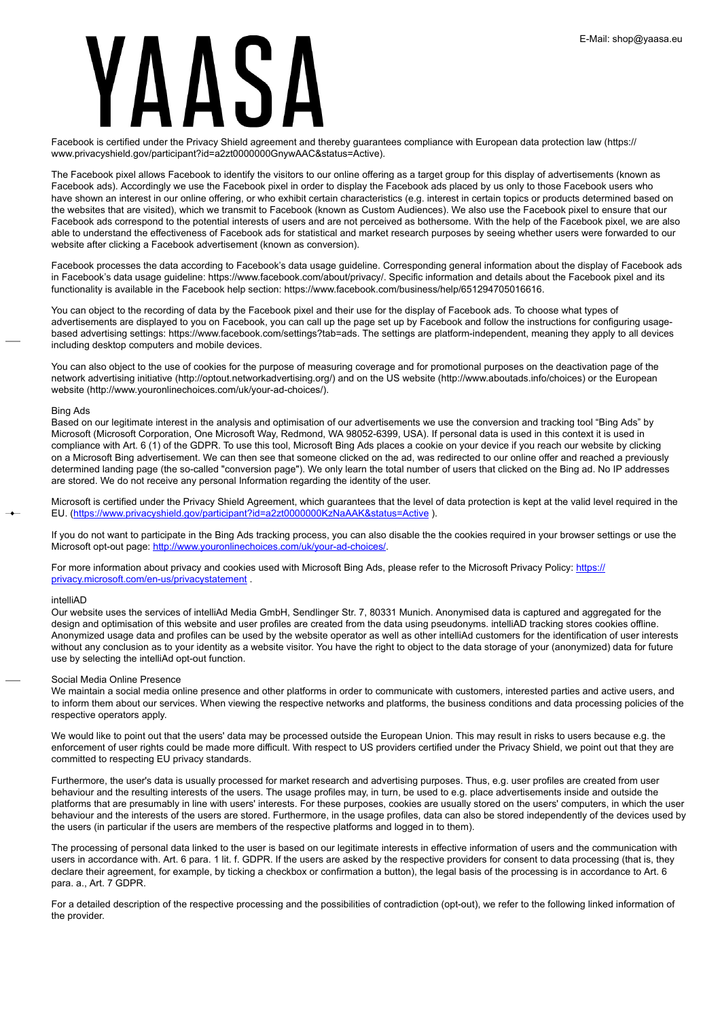Facebook is certified under the Privacy Shield agreement and thereby guarantees compliance with European data protection law (https:// www.privacyshield.gov/participant?id=a2zt0000000GnywAAC&status=Active).

The Facebook pixel allows Facebook to identify the visitors to our online offering as a target group for this display of advertisements (known as Facebook ads). Accordingly we use the Facebook pixel in order to display the Facebook ads placed by us only to those Facebook users who have shown an interest in our online offering, or who exhibit certain characteristics (e.g. interest in certain topics or products determined based on the websites that are visited), which we transmit to Facebook (known as Custom Audiences). We also use the Facebook pixel to ensure that our Facebook ads correspond to the potential interests of users and are not perceived as bothersome. With the help of the Facebook pixel, we are also able to understand the effectiveness of Facebook ads for statistical and market research purposes by seeing whether users were forwarded to our website after clicking a Facebook advertisement (known as conversion).

Facebook processes the data according to Facebook's data usage guideline. Corresponding general information about the display of Facebook ads in Facebook's data usage guideline: https://www.facebook.com/about/privacy/. Specific information and details about the Facebook pixel and its functionality is available in the Facebook help section: https://www.facebook.com/business/help/651294705016616.

You can object to the recording of data by the Facebook pixel and their use for the display of Facebook ads. To choose what types of advertisements are displayed to you on Facebook, you can call up the page set up by Facebook and follow the instructions for configuring usagebased advertising settings: https://www.facebook.com/settings?tab=ads. The settings are platform-independent, meaning they apply to all devices including desktop computers and mobile devices.

You can also object to the use of cookies for the purpose of measuring coverage and for promotional purposes on the deactivation page of the network advertising initiative (http://optout.networkadvertising.org/) and on the US website (http://www.aboutads.info/choices) or the European website (http://www.youronlinechoices.com/uk/your-ad-choices/).

### Bing Ads

Based on our legitimate interest in the analysis and optimisation of our advertisements we use the conversion and tracking tool "Bing Ads" by Microsoft (Microsoft Corporation, One Microsoft Way, Redmond, WA 98052-6399, USA). If personal data is used in this context it is used in compliance with Art. 6 (1) of the GDPR. To use this tool, Microsoft Bing Ads places a cookie on your device if you reach our website by clicking on a Microsoft Bing advertisement. We can then see that someone clicked on the ad, was redirected to our online offer and reached a previously determined landing page (the so-called "conversion page"). We only learn the total number of users that clicked on the Bing ad. No IP addresses are stored. We do not receive any personal Information regarding the identity of the user.

Microsoft is certified under the Privacy Shield Agreement, which guarantees that the level of data protection is kept at the valid level required in the EU. (<https://www.privacyshield.gov/participant?id=a2zt0000000KzNaAAK&status=Active> ).

If you do not want to participate in the Bing Ads tracking process, you can also disable the the cookies required in your browser settings or use the Microsoft opt-out page: [http://www.youronlinechoices.com/uk/your-ad-choices/.](http://www.youronlinechoices.com/uk/your-ad-choices/)

For more information about privacy and cookies used with Microsoft Bing Ads, please refer to the Microsoft Privacy Policy: [https://](https://privacy.microsoft.com/de-de/privacystatement) [privacy.microsoft.com/en-us/privacystatement](https://privacy.microsoft.com/de-de/privacystatement) .

### intelliAD

Our website uses the services of intelliAd Media GmbH, Sendlinger Str. 7, 80331 Munich. Anonymised data is captured and aggregated for the design and optimisation of this website and user profiles are created from the data using pseudonyms. intelliAD tracking stores cookies offline. Anonymized usage data and profiles can be used by the website operator as well as other intelliAd customers for the identification of user interests without any conclusion as to your identity as a website visitor. You have the right to object to the data storage of your (anonymized) data for future use by selecting the intelliAd opt-out function.

### Social Media Online Presence

We maintain a social media online presence and other platforms in order to communicate with customers, interested parties and active users, and to inform them about our services. When viewing the respective networks and platforms, the business conditions and data processing policies of the respective operators apply.

We would like to point out that the users' data may be processed outside the European Union. This may result in risks to users because e.g. the enforcement of user rights could be made more difficult. With respect to US providers certified under the Privacy Shield, we point out that they are committed to respecting EU privacy standards.

Furthermore, the user's data is usually processed for market research and advertising purposes. Thus, e.g. user profiles are created from user behaviour and the resulting interests of the users. The usage profiles may, in turn, be used to e.g. place advertisements inside and outside the platforms that are presumably in line with users' interests. For these purposes, cookies are usually stored on the users' computers, in which the user behaviour and the interests of the users are stored. Furthermore, in the usage profiles, data can also be stored independently of the devices used by the users (in particular if the users are members of the respective platforms and logged in to them).

The processing of personal data linked to the user is based on our legitimate interests in effective information of users and the communication with users in accordance with. Art. 6 para. 1 lit. f. GDPR. If the users are asked by the respective providers for consent to data processing (that is, they declare their agreement, for example, by ticking a checkbox or confirmation a button), the legal basis of the processing is in accordance to Art. 6 para. a., Art. 7 GDPR.

For a detailed description of the respective processing and the possibilities of contradiction (opt-out), we refer to the following linked information of the provider.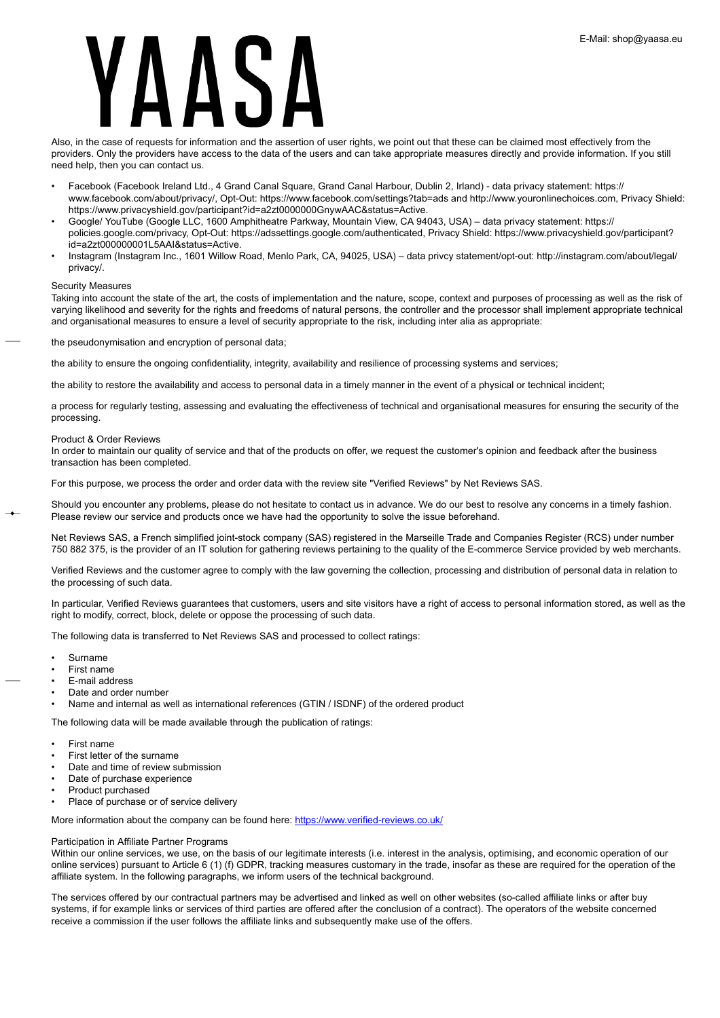Also, in the case of requests for information and the assertion of user rights, we point out that these can be claimed most effectively from the providers. Only the providers have access to the data of the users and can take appropriate measures directly and provide information. If you still need help, then you can contact us.

- Facebook (Facebook Ireland Ltd., 4 Grand Canal Square, Grand Canal Harbour, Dublin 2, Irland) data privacy statement: https:// www.facebook.com/about/privacy/, Opt-Out: https://www.facebook.com/settings?tab=ads and http://www.youronlinechoices.com, Privacy Shield: https://www.privacyshield.gov/participant?id=a2zt0000000GnywAAC&status=Active.
- Google/ YouTube (Google LLC, 1600 Amphitheatre Parkway, Mountain View, CA 94043, USA) data privacy statement: https:// policies.google.com/privacy, Opt-Out: https://adssettings.google.com/authenticated, Privacy Shield: https://www.privacyshield.gov/participant? id=a2zt000000001L5AAI&status=Active.
- Instagram (Instagram Inc., 1601 Willow Road, Menlo Park, CA, 94025, USA) data privcy statement/opt-out: http://instagram.com/about/legal/ privacy/.

### Security Measures

Taking into account the state of the art, the costs of implementation and the nature, scope, context and purposes of processing as well as the risk of varying likelihood and severity for the rights and freedoms of natural persons, the controller and the processor shall implement appropriate technical and organisational measures to ensure a level of security appropriate to the risk, including inter alia as appropriate:

the pseudonymisation and encryption of personal data;

the ability to ensure the ongoing confidentiality, integrity, availability and resilience of processing systems and services;

the ability to restore the availability and access to personal data in a timely manner in the event of a physical or technical incident;

a process for regularly testing, assessing and evaluating the effectiveness of technical and organisational measures for ensuring the security of the processing.

### Product & Order Reviews

In order to maintain our quality of service and that of the products on offer, we request the customer's opinion and feedback after the business transaction has been completed.

For this purpose, we process the order and order data with the review site "Verified Reviews" by Net Reviews SAS.

Should you encounter any problems, please do not hesitate to contact us in advance. We do our best to resolve any concerns in a timely fashion. Please review our service and products once we have had the opportunity to solve the issue beforehand.

Net Reviews SAS, a French simplified joint-stock company (SAS) registered in the Marseille Trade and Companies Register (RCS) under number 750 882 375, is the provider of an IT solution for gathering reviews pertaining to the quality of the E-commerce Service provided by web merchants.

Verified Reviews and the customer agree to comply with the law governing the collection, processing and distribution of personal data in relation to the processing of such data.

In particular, Verified Reviews guarantees that customers, users and site visitors have a right of access to personal information stored, as well as the right to modify, correct, block, delete or oppose the processing of such data.

The following data is transferred to Net Reviews SAS and processed to collect ratings:

- Surname
- First name
- E-mail address
- Date and order number
- Name and internal as well as international references (GTIN / ISDNF) of the ordered product

The following data will be made available through the publication of ratings:

- First name
- First letter of the surname
- Date and time of review submission
- Date of purchase experience
- Product purchased
- Place of purchase or of service delivery

More information about the company can be found here: <https://www.verified-reviews.co.uk/>

## Participation in Affiliate Partner Programs

Within our online services, we use, on the basis of our legitimate interests (i.e. interest in the analysis, optimising, and economic operation of our online services) pursuant to Article 6 (1) (f) GDPR, tracking measures customary in the trade, insofar as these are required for the operation of the affiliate system. In the following paragraphs, we inform users of the technical background.

The services offered by our contractual partners may be advertised and linked as well on other websites (so-called affiliate links or after buy systems, if for example links or services of third parties are offered after the conclusion of a contract). The operators of the website concerned receive a commission if the user follows the affiliate links and subsequently make use of the offers.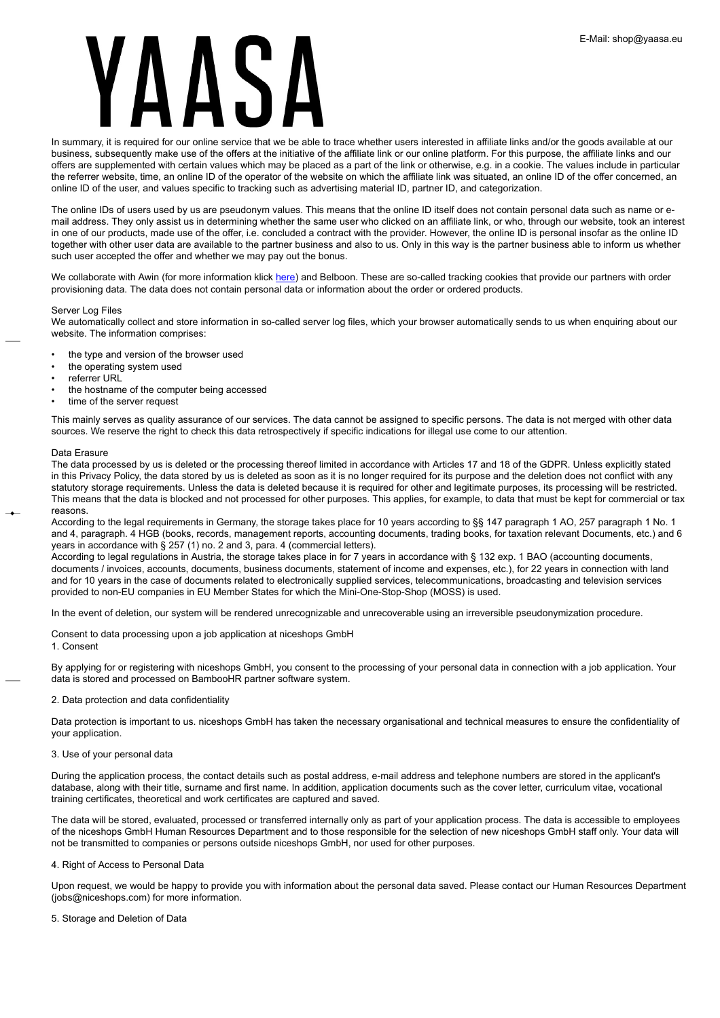In summary, it is required for our online service that we be able to trace whether users interested in affiliate links and/or the goods available at our business, subsequently make use of the offers at the initiative of the affiliate link or our online platform. For this purpose, the affiliate links and our offers are supplemented with certain values which may be placed as a part of the link or otherwise, e.g. in a cookie. The values include in particular the referrer website, time, an online ID of the operator of the website on which the affiliate link was situated, an online ID of the offer concerned, an online ID of the user, and values specific to tracking such as advertising material ID, partner ID, and categorization.

The online IDs of users used by us are pseudonym values. This means that the online ID itself does not contain personal data such as name or email address. They only assist us in determining whether the same user who clicked on an affiliate link, or who, through our website, took an interest in one of our products, made use of the offer, i.e. concluded a contract with the provider. However, the online ID is personal insofar as the online ID together with other user data are available to the partner business and also to us. Only in this way is the partner business able to inform us whether such user accepted the offer and whether we may pay out the bonus.

We collaborate with Awin (for more information klick [here\)](#page-0-0) and Belboon. These are so-called tracking cookies that provide our partners with order provisioning data. The data does not contain personal data or information about the order or ordered products.

## Server Log Files

We automatically collect and store information in so-called server log files, which your browser automatically sends to us when enquiring about our website. The information comprises:

- the type and version of the browser used
- the operating system used
- referrer URL
- the hostname of the computer being accessed
- time of the server request

This mainly serves as quality assurance of our services. The data cannot be assigned to specific persons. The data is not merged with other data sources. We reserve the right to check this data retrospectively if specific indications for illegal use come to our attention.

### Data Erasure

The data processed by us is deleted or the processing thereof limited in accordance with Articles 17 and 18 of the GDPR. Unless explicitly stated in this Privacy Policy, the data stored by us is deleted as soon as it is no longer required for its purpose and the deletion does not conflict with any statutory storage requirements. Unless the data is deleted because it is required for other and legitimate purposes, its processing will be restricted. This means that the data is blocked and not processed for other purposes. This applies, for example, to data that must be kept for commercial or tax reasons.

According to the legal requirements in Germany, the storage takes place for 10 years according to §§ 147 paragraph 1 AO, 257 paragraph 1 No. 1 and 4, paragraph. 4 HGB (books, records, management reports, accounting documents, trading books, for taxation relevant Documents, etc.) and 6 years in accordance with § 257 (1) no. 2 and 3, para. 4 (commercial letters).

According to legal regulations in Austria, the storage takes place in for 7 years in accordance with § 132 exp. 1 BAO (accounting documents, documents / invoices, accounts, documents, business documents, statement of income and expenses, etc.), for 22 years in connection with land and for 10 years in the case of documents related to electronically supplied services, telecommunications, broadcasting and television services provided to non-EU companies in EU Member States for which the Mini-One-Stop-Shop (MOSS) is used.

In the event of deletion, our system will be rendered unrecognizable and unrecoverable using an irreversible pseudonymization procedure.

Consent to data processing upon a job application at niceshops GmbH

1. Consent

By applying for or registering with niceshops GmbH, you consent to the processing of your personal data in connection with a job application. Your data is stored and processed on BambooHR partner software system.

## 2. Data protection and data confidentiality

Data protection is important to us. niceshops GmbH has taken the necessary organisational and technical measures to ensure the confidentiality of your application.

## 3. Use of your personal data

During the application process, the contact details such as postal address, e-mail address and telephone numbers are stored in the applicant's database, along with their title, surname and first name. In addition, application documents such as the cover letter, curriculum vitae, vocational training certificates, theoretical and work certificates are captured and saved.

The data will be stored, evaluated, processed or transferred internally only as part of your application process. The data is accessible to employees of the niceshops GmbH Human Resources Department and to those responsible for the selection of new niceshops GmbH staff only. Your data will not be transmitted to companies or persons outside niceshops GmbH, nor used for other purposes.

### 4. Right of Access to Personal Data

Upon request, we would be happy to provide you with information about the personal data saved. Please contact our Human Resources Department (jobs@niceshops.com) for more information.

## 5. Storage and Deletion of Data